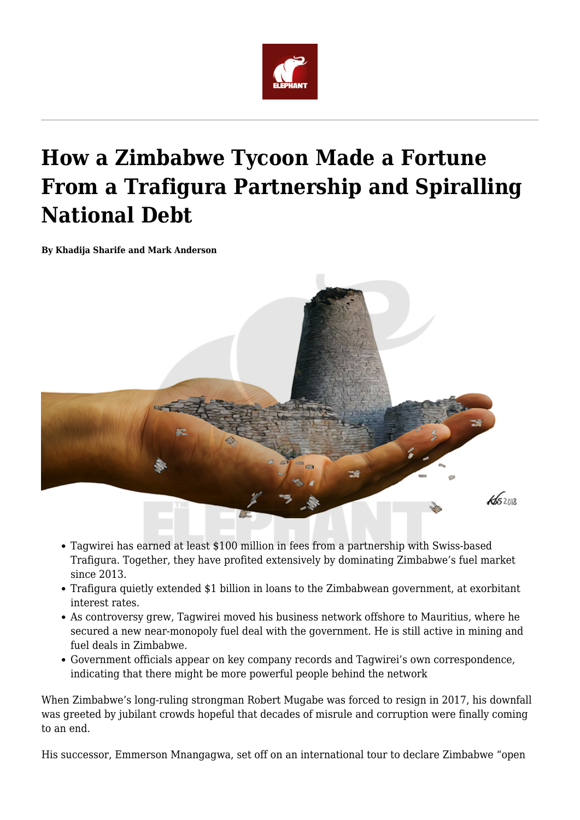

# **How a Zimbabwe Tycoon Made a Fortune From a Trafigura Partnership and Spiralling National Debt**

**By Khadija Sharife and Mark Anderson**



- Tagwirei has earned at least \$100 million in fees from a partnership with Swiss-based Trafigura. Together, they have profited extensively by dominating Zimbabwe's fuel market since 2013.
- Trafigura quietly extended \$1 billion in loans to the Zimbabwean government, at exorbitant interest rates.
- As controversy grew, Tagwirei moved his business network offshore to Mauritius, where he secured a new near-monopoly fuel deal with the government. He is still active in mining and fuel deals in Zimbabwe.
- Government officials appear on key company records and Tagwirei's own correspondence, indicating that there might be more powerful people behind the network

When Zimbabwe's long-ruling strongman Robert Mugabe was forced to resign in 2017, his downfall was greeted by jubilant crowds hopeful that decades of misrule and corruption were finally coming to an end.

His successor, Emmerson Mnangagwa, set off on an international tour to declare Zimbabwe "open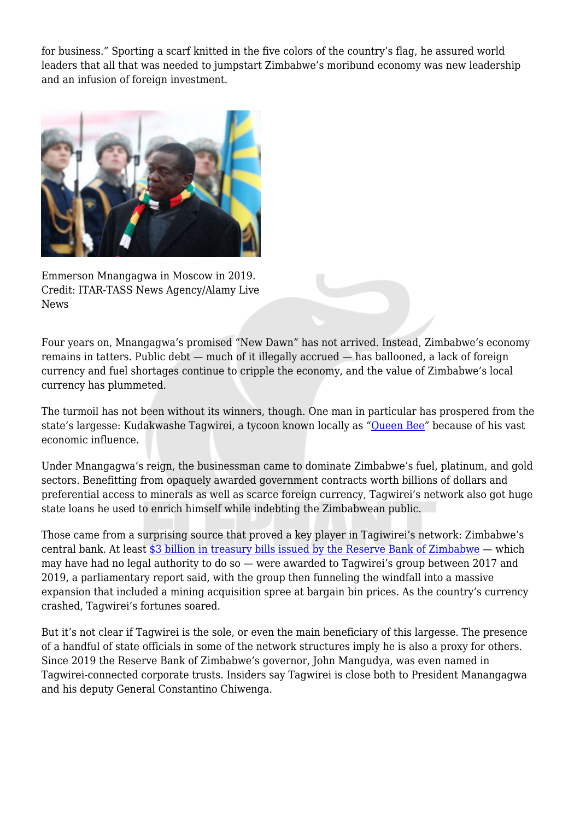for business." Sporting a scarf knitted in the five colors of the country's flag, he assured world leaders that all that was needed to jumpstart Zimbabwe's moribund economy was new leadership and an infusion of foreign investment.



Emmerson Mnangagwa in Moscow in 2019. Credit: ITAR-TASS News Agency/Alamy Live News

Four years on, Mnangagwa's promised "New Dawn" has not arrived. Instead, Zimbabwe's economy remains in tatters. Public debt — much of it illegally accrued — has ballooned, a lack of foreign currency and fuel shortages continue to cripple the economy, and the value of Zimbabwe's local currency has plummeted.

The turmoil has not been without its winners, though. One man in particular has prospered from the state's largesse: Kudakwashe Tagwirei, a tycoon known locally as ["Queen Bee"](https://www.bloomberg.com/news/articles/2020-08-05/u-s-treasury-sanctions-zimbabwe-president-s-adviser-tagwirei) because of his vast economic influence.

Under Mnangagwa's reign, the businessman came to dominate Zimbabwe's fuel, platinum, and gold sectors. Benefitting from opaquely awarded government contracts worth billions of dollars and preferential access to minerals as well as scarce foreign currency, Tagwirei's network also got huge state loans he used to enrich himself while indebting the Zimbabwean public.

Those came from a surprising source that proved a key player in Tagiwirei's network: Zimbabwe's central bank. At least [\\$3 billion in treasury bills issued by the Reserve Bank of Zimbabwe](https://home.treasury.gov/news/press-releases/sm1082) — which may have had no legal authority to do so — were awarded to Tagwirei's group between 2017 and 2019, a parliamentary report said, with the group then funneling the windfall into a massive expansion that included a mining acquisition spree at bargain bin prices. As the country's currency crashed, Tagwirei's fortunes soared.

But it's not clear if Tagwirei is the sole, or even the main beneficiary of this largesse. The presence of a handful of state officials in some of the network structures imply he is also a proxy for others. Since 2019 the Reserve Bank of Zimbabwe's governor, John Mangudya, was even named in Tagwirei-connected corporate trusts. Insiders say Tagwirei is close both to President Manangagwa and his deputy General Constantino Chiwenga.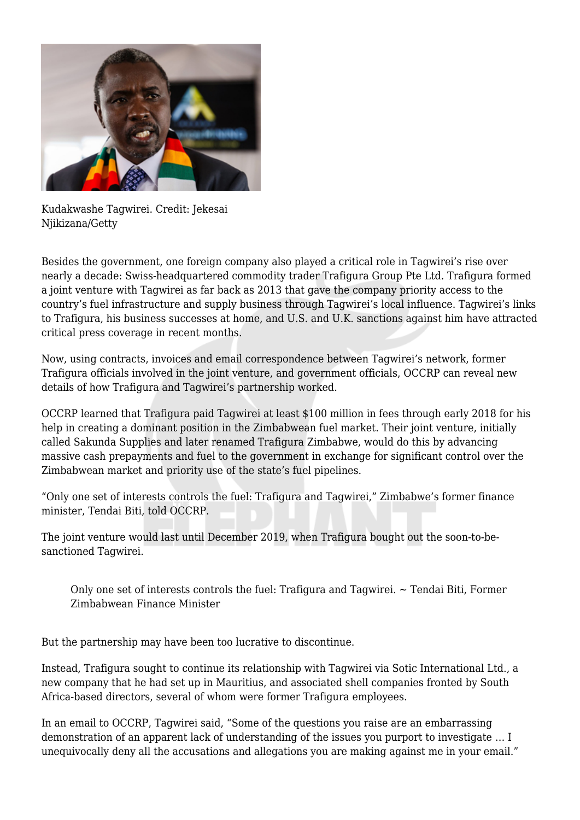

Kudakwashe Tagwirei. Credit: Jekesai Njikizana/Getty

Besides the government, one foreign company also played a critical role in Tagwirei's rise over nearly a decade: Swiss-headquartered commodity trader Trafigura Group Pte Ltd. Trafigura formed a joint venture with Tagwirei as far back as 2013 that gave the company priority access to the country's fuel infrastructure and supply business through Tagwirei's local influence. Tagwirei's links to Trafigura, his business successes at home, and U.S. and U.K. sanctions against him have attracted critical press coverage in recent months.

Now, using contracts, invoices and email correspondence between Tagwirei's network, former Trafigura officials involved in the joint venture, and government officials, OCCRP can reveal new details of how Trafigura and Tagwirei's partnership worked.

OCCRP learned that Trafigura paid Tagwirei at least \$100 million in fees through early 2018 for his help in creating a dominant position in the Zimbabwean fuel market. Their joint venture, initially called Sakunda Supplies and later renamed Trafigura Zimbabwe, would do this by advancing massive cash prepayments and fuel to the government in exchange for significant control over the Zimbabwean market and priority use of the state's fuel pipelines.

"Only one set of interests controls the fuel: Trafigura and Tagwirei," Zimbabwe's former finance minister, Tendai Biti, told OCCRP.

The joint venture would last until December 2019, when Trafigura bought out the soon-to-besanctioned Tagwirei.

Only one set of interests controls the fuel: Trafigura and Tagwirei. ~ Tendai Biti, Former Zimbabwean Finance Minister

But the partnership may have been too lucrative to discontinue.

Instead, Trafigura sought to continue its relationship with Tagwirei via Sotic International Ltd., a new company that he had set up in Mauritius, and associated shell companies fronted by South Africa-based directors, several of whom were former Trafigura employees.

In an email to OCCRP, Tagwirei said, "Some of the questions you raise are an embarrassing demonstration of an apparent lack of understanding of the issues you purport to investigate … I unequivocally deny all the accusations and allegations you are making against me in your email."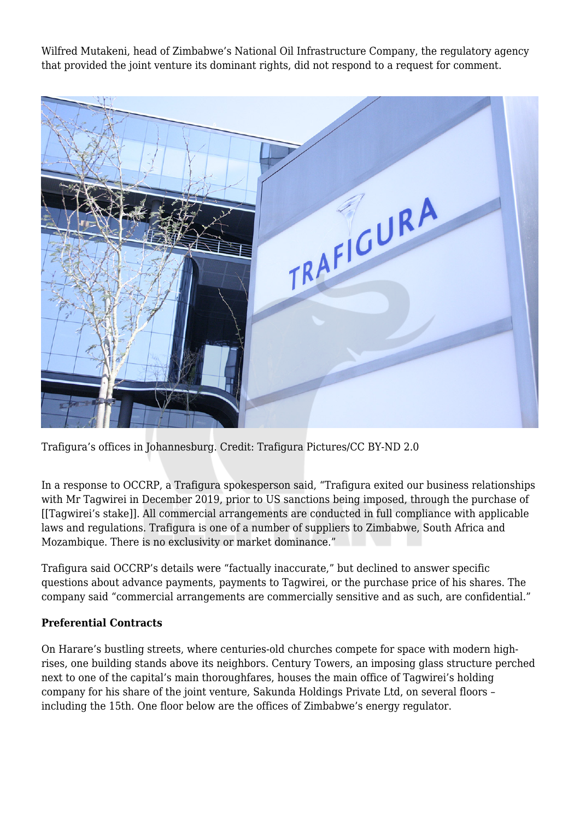Wilfred Mutakeni, head of Zimbabwe's National Oil Infrastructure Company, the regulatory agency that provided the joint venture its dominant rights, did not respond to a request for comment.



Trafigura's offices in Johannesburg. Credit: Trafigura Pictures/CC BY-ND 2.0

In a response to OCCRP, a Trafigura spokesperson said, "Trafigura exited our business relationships with Mr Tagwirei in December 2019, prior to US sanctions being imposed, through the purchase of [[Tagwirei's stake]]. All commercial arrangements are conducted in full compliance with applicable laws and regulations. Trafigura is one of a number of suppliers to Zimbabwe, South Africa and Mozambique. There is no exclusivity or market dominance."

Trafigura said OCCRP's details were "factually inaccurate," but declined to answer specific questions about advance payments, payments to Tagwirei, or the purchase price of his shares. The company said "commercial arrangements are commercially sensitive and as such, are confidential."

#### **Preferential Contracts**

On Harare's bustling streets, where centuries-old churches compete for space with modern highrises, one building stands above its neighbors. Century Towers, an imposing glass structure perched next to one of the capital's main thoroughfares, houses the main office of Tagwirei's holding company for his share of the joint venture, Sakunda Holdings Private Ltd, on several floors – including the 15th. One floor below are the offices of Zimbabwe's energy regulator.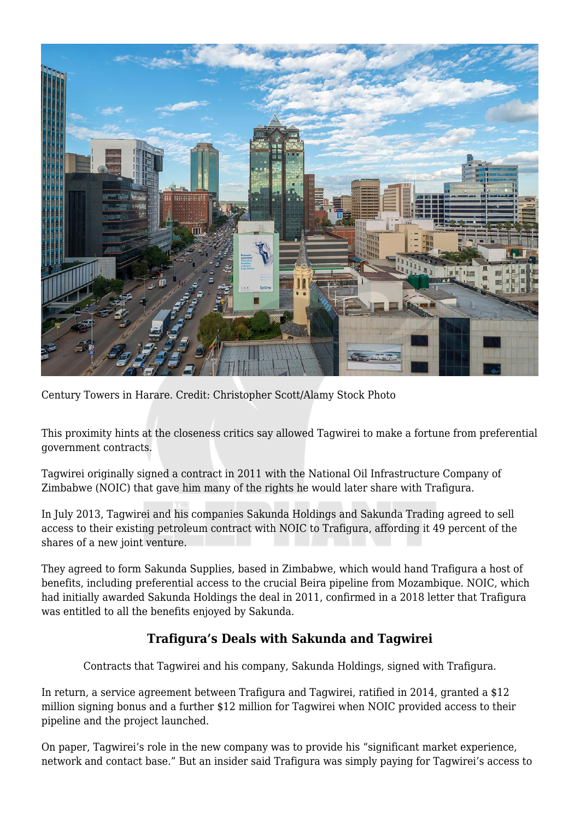

Century Towers in Harare. Credit: Christopher Scott/Alamy Stock Photo

This proximity hints at the closeness critics say allowed Tagwirei to make a fortune from preferential government contracts.

Tagwirei originally signed a contract in 2011 with the National Oil Infrastructure Company of Zimbabwe (NOIC) that gave him many of the rights he would later share with Trafigura.

In July 2013, Tagwirei and his companies Sakunda Holdings and Sakunda Trading agreed to sell access to their existing petroleum contract with NOIC to Trafigura, affording it 49 percent of the shares of a new joint venture.

They agreed to form Sakunda Supplies, based in Zimbabwe, which would hand Trafigura a host of benefits, including preferential access to the crucial Beira pipeline from Mozambique. NOIC, which had initially awarded Sakunda Holdings the deal in 2011, confirmed in a 2018 letter that Trafigura was entitled to all the benefits enjoyed by Sakunda.

# **Trafigura's Deals with Sakunda and Tagwirei**

Contracts that Tagwirei and his company, Sakunda Holdings, signed with Trafigura.

In return, a service agreement between Trafigura and Tagwirei, ratified in 2014, granted a \$12 million signing bonus and a further \$12 million for Tagwirei when NOIC provided access to their pipeline and the project launched.

On paper, Tagwirei's role in the new company was to provide his "significant market experience, network and contact base." But an insider said Trafigura was simply paying for Tagwirei's access to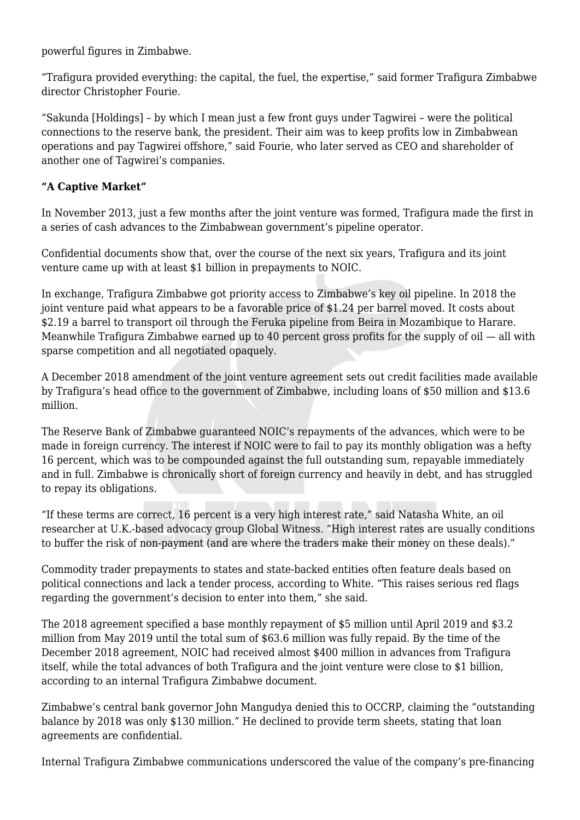powerful figures in Zimbabwe.

"Trafigura provided everything: the capital, the fuel, the expertise," said former Trafigura Zimbabwe director Christopher Fourie.

"Sakunda [Holdings] – by which I mean just a few front guys under Tagwirei – were the political connections to the reserve bank, the president. Their aim was to keep profits low in Zimbabwean operations and pay Tagwirei offshore," said Fourie, who later served as CEO and shareholder of another one of Tagwirei's companies.

### **"A Captive Market"**

In November 2013, just a few months after the joint venture was formed, Trafigura made the first in a series of cash advances to the Zimbabwean government's pipeline operator.

Confidential documents show that, over the course of the next six years, Trafigura and its joint venture came up with at least \$1 billion in prepayments to NOIC.

In exchange, Trafigura Zimbabwe got priority access to Zimbabwe's key oil pipeline. In 2018 the joint venture paid what appears to be a favorable price of \$1.24 per barrel moved. It costs about \$2.19 a barrel to transport oil through the Feruka pipeline from Beira in Mozambique to Harare. Meanwhile Trafigura Zimbabwe earned up to 40 percent gross profits for the supply of oil — all with sparse competition and all negotiated opaquely.

A December 2018 amendment of the joint venture agreement sets out credit facilities made available by Trafigura's head office to the government of Zimbabwe, including loans of \$50 million and \$13.6 million.

The Reserve Bank of Zimbabwe guaranteed NOIC's repayments of the advances, which were to be made in foreign currency. The interest if NOIC were to fail to pay its monthly obligation was a hefty 16 percent, which was to be compounded against the full outstanding sum, repayable immediately and in full. Zimbabwe is chronically short of foreign currency and heavily in debt, and has struggled to repay its obligations.

"If these terms are correct, 16 percent is a very high interest rate," said Natasha White, an oil researcher at U.K.-based advocacy group Global Witness. "High interest rates are usually conditions to buffer the risk of non-payment (and are where the traders make their money on these deals)."

Commodity trader prepayments to states and state-backed entities often feature deals based on political connections and lack a tender process, according to White. "This raises serious red flags regarding the government's decision to enter into them," she said.

The 2018 agreement specified a base monthly repayment of \$5 million until April 2019 and \$3.2 million from May 2019 until the total sum of \$63.6 million was fully repaid. By the time of the December 2018 agreement, NOIC had received almost \$400 million in advances from Trafigura itself, while the total advances of both Trafigura and the joint venture were close to \$1 billion, according to an internal Trafigura Zimbabwe document.

Zimbabwe's central bank governor John Mangudya denied this to OCCRP, claiming the "outstanding balance by 2018 was only \$130 million." He declined to provide term sheets, stating that loan agreements are confidential.

Internal Trafigura Zimbabwe communications underscored the value of the company's pre-financing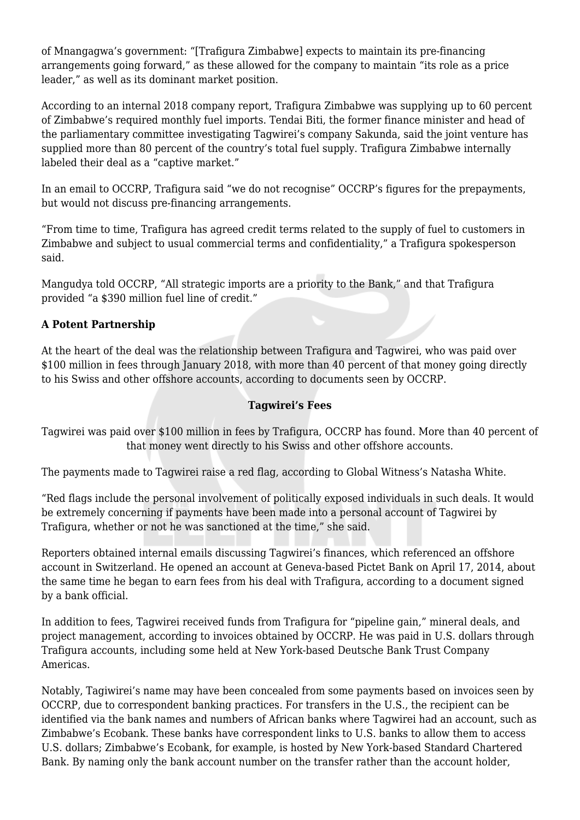of Mnangagwa's government: "[Trafigura Zimbabwe] expects to maintain its pre-financing arrangements going forward," as these allowed for the company to maintain "its role as a price leader," as well as its dominant market position.

According to an internal 2018 company report, Trafigura Zimbabwe was supplying up to 60 percent of Zimbabwe's required monthly fuel imports. Tendai Biti, the former finance minister and head of the parliamentary committee investigating Tagwirei's company Sakunda, said the joint venture has supplied more than 80 percent of the country's total fuel supply. Trafigura Zimbabwe internally labeled their deal as a "captive market."

In an email to OCCRP, Trafigura said "we do not recognise" OCCRP's figures for the prepayments, but would not discuss pre-financing arrangements.

"From time to time, Trafigura has agreed credit terms related to the supply of fuel to customers in Zimbabwe and subject to usual commercial terms and confidentiality," a Trafigura spokesperson said.

Mangudya told OCCRP, "All strategic imports are a priority to the Bank," and that Trafigura provided "a \$390 million fuel line of credit."

## **A Potent Partnership**

At the heart of the deal was the relationship between Trafigura and Tagwirei, who was paid over \$100 million in fees through January 2018, with more than 40 percent of that money going directly to his Swiss and other offshore accounts, according to documents seen by OCCRP.

#### **Tagwirei's Fees**

Tagwirei was paid over \$100 million in fees by Trafigura, OCCRP has found. More than 40 percent of that money went directly to his Swiss and other offshore accounts.

The payments made to Tagwirei raise a red flag, according to Global Witness's Natasha White.

"Red flags include the personal involvement of politically exposed individuals in such deals. It would be extremely concerning if payments have been made into a personal account of Tagwirei by Trafigura, whether or not he was sanctioned at the time," she said.

Reporters obtained internal emails discussing Tagwirei's finances, which referenced an offshore account in Switzerland. He opened an account at Geneva-based Pictet Bank on April 17, 2014, about the same time he began to earn fees from his deal with Trafigura, according to a document signed by a bank official.

In addition to fees, Tagwirei received funds from Trafigura for "pipeline gain," mineral deals, and project management, according to invoices obtained by OCCRP. He was paid in U.S. dollars through Trafigura accounts, including some held at New York-based Deutsche Bank Trust Company Americas.

Notably, Tagiwirei's name may have been concealed from some payments based on invoices seen by OCCRP, due to correspondent banking practices. For transfers in the U.S., the recipient can be identified via the bank names and numbers of African banks where Tagwirei had an account, such as Zimbabwe's Ecobank. These banks have correspondent links to U.S. banks to allow them to access U.S. dollars; Zimbabwe's Ecobank, for example, is hosted by New York-based Standard Chartered Bank. By naming only the bank account number on the transfer rather than the account holder,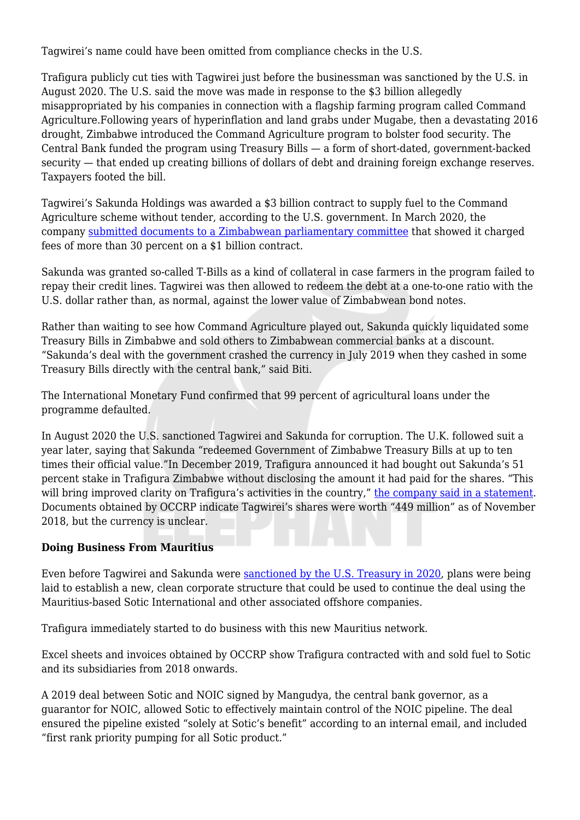Tagwirei's name could have been omitted from compliance checks in the U.S.

Trafigura publicly cut ties with Tagwirei just before the businessman was sanctioned by the U.S. in August 2020. The U.S. said the move was made in response to the \$3 billion allegedly misappropriated by his companies in connection with a flagship farming program called Command Agriculture.Following years of hyperinflation and land grabs under Mugabe, then a devastating 2016 drought, Zimbabwe introduced the Command Agriculture program to bolster food security. The Central Bank funded the program using Treasury Bills — a form of short-dated, government-backed security — that ended up creating billions of dollars of debt and draining foreign exchange reserves. Taxpayers footed the bill.

Tagwirei's Sakunda Holdings was awarded a \$3 billion contract to supply fuel to the Command Agriculture scheme without tender, according to the U.S. government. In March 2020, the company [submitted documents to a Zimbabwean parliamentary committee](https://www.facebook.com/openparlyzw/videos/721149318623471) that showed it charged fees of more than 30 percent on a \$1 billion contract.

Sakunda was granted so-called T-Bills as a kind of collateral in case farmers in the program failed to repay their credit lines. Tagwirei was then allowed to redeem the debt at a one-to-one ratio with the U.S. dollar rather than, as normal, against the lower value of Zimbabwean bond notes.

Rather than waiting to see how Command Agriculture played out, Sakunda quickly liquidated some Treasury Bills in Zimbabwe and sold others to Zimbabwean commercial banks at a discount. "Sakunda's deal with the government crashed the currency in July 2019 when they cashed in some Treasury Bills directly with the central bank," said Biti.

The International Monetary Fund confirmed that 99 percent of agricultural loans under the programme defaulted.

In August 2020 the U.S. sanctioned Tagwirei and Sakunda for corruption. The U.K. followed suit a year later, saying that Sakunda "redeemed Government of Zimbabwe Treasury Bills at up to ten times their official value."In December 2019, Trafigura announced it had bought out Sakunda's 51 percent stake in Trafigura Zimbabwe without disclosing the amount it had paid for the shares. "This will bring improved clarity on Trafigura's activities in the country," [the company said in a statement](https://www.trafigura.com/responses/update-on-trafiguras-fuel-supply-business-to-zimbabwe). Documents obtained by OCCRP indicate Tagwirei's shares were worth "449 million" as of November 2018, but the currency is unclear.

#### **Doing Business From Mauritius**

Even before Tagwirei and Sakunda were [sanctioned by the U.S. Treasury in 2020,](https://home.treasury.gov/news/press-releases/sm1082) plans were being laid to establish a new, clean corporate structure that could be used to continue the deal using the Mauritius-based Sotic International and other associated offshore companies.

Trafigura immediately started to do business with this new Mauritius network.

Excel sheets and invoices obtained by OCCRP show Trafigura contracted with and sold fuel to Sotic and its subsidiaries from 2018 onwards.

A 2019 deal between Sotic and NOIC signed by Mangudya, the central bank governor, as a guarantor for NOIC, allowed Sotic to effectively maintain control of the NOIC pipeline. The deal ensured the pipeline existed "solely at Sotic's benefit" according to an internal email, and included "first rank priority pumping for all Sotic product."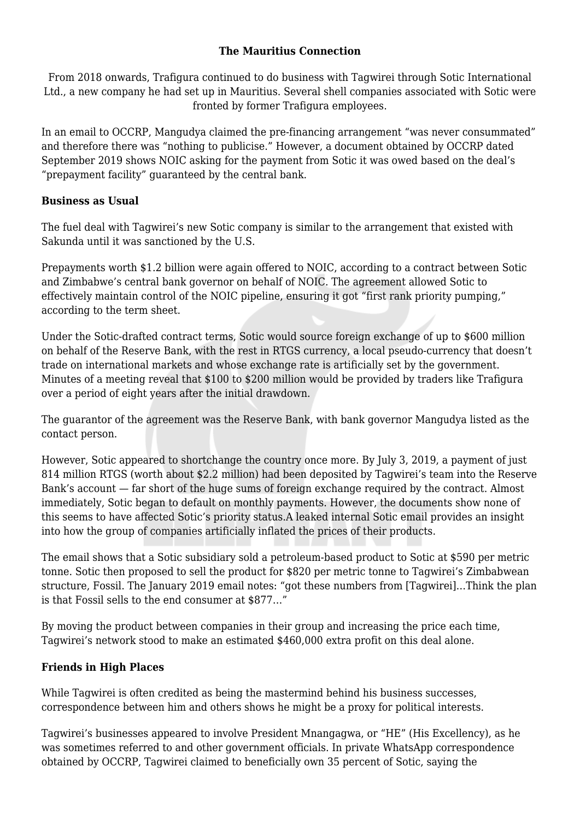#### **The Mauritius Connection**

From 2018 onwards, Trafigura continued to do business with Tagwirei through Sotic International Ltd., a new company he had set up in Mauritius. Several shell companies associated with Sotic were fronted by former Trafigura employees.

In an email to OCCRP, Mangudya claimed the pre-financing arrangement "was never consummated" and therefore there was "nothing to publicise." However, a document obtained by OCCRP dated September 2019 shows NOIC asking for the payment from Sotic it was owed based on the deal's "prepayment facility" guaranteed by the central bank.

#### **Business as Usual**

The fuel deal with Tagwirei's new Sotic company is similar to the arrangement that existed with Sakunda until it was sanctioned by the U.S.

Prepayments worth \$1.2 billion were again offered to NOIC, according to a contract between Sotic and Zimbabwe's central bank governor on behalf of NOIC. The agreement allowed Sotic to effectively maintain control of the NOIC pipeline, ensuring it got "first rank priority pumping," according to the term sheet.

Under the Sotic-drafted contract terms, Sotic would source foreign exchange of up to \$600 million on behalf of the Reserve Bank, with the rest in RTGS currency, a local pseudo-currency that doesn't trade on international markets and whose exchange rate is artificially set by the government. Minutes of a meeting reveal that \$100 to \$200 million would be provided by traders like Trafigura over a period of eight years after the initial drawdown.

The guarantor of the agreement was the Reserve Bank, with bank governor Mangudya listed as the contact person.

However, Sotic appeared to shortchange the country once more. By July 3, 2019, a payment of just 814 million RTGS (worth about \$2.2 million) had been deposited by Tagwirei's team into the Reserve Bank's account — far short of the huge sums of foreign exchange required by the contract. Almost immediately, Sotic began to default on monthly payments. However, the documents show none of this seems to have affected Sotic's priority status.A leaked internal Sotic email provides an insight into how the group of companies artificially inflated the prices of their products.

The email shows that a Sotic subsidiary sold a petroleum-based product to Sotic at \$590 per metric tonne. Sotic then proposed to sell the product for \$820 per metric tonne to Tagwirei's Zimbabwean structure, Fossil. The January 2019 email notes: "got these numbers from [Tagwirei]…Think the plan is that Fossil sells to the end consumer at \$877…"

By moving the product between companies in their group and increasing the price each time, Tagwirei's network stood to make an estimated \$460,000 extra profit on this deal alone.

#### **Friends in High Places**

While Tagwirei is often credited as being the mastermind behind his business successes, correspondence between him and others shows he might be a proxy for political interests.

Tagwirei's businesses appeared to involve President Mnangagwa, or "HE" (His Excellency), as he was sometimes referred to and other government officials. In private WhatsApp correspondence obtained by OCCRP, Tagwirei claimed to beneficially own 35 percent of Sotic, saying the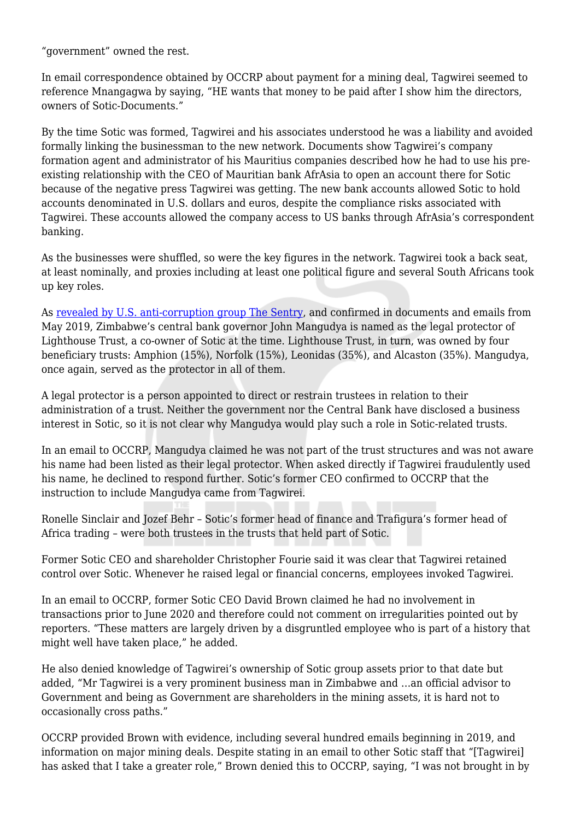"government" owned the rest.

In email correspondence obtained by OCCRP about payment for a mining deal, Tagwirei seemed to reference Mnangagwa by saying, "HE wants that money to be paid after I show him the directors, owners of Sotic-Documents."

By the time Sotic was formed, Tagwirei and his associates understood he was a liability and avoided formally linking the businessman to the new network. Documents show Tagwirei's company formation agent and administrator of his Mauritius companies described how he had to use his preexisting relationship with the CEO of Mauritian bank AfrAsia to open an account there for Sotic because of the negative press Tagwirei was getting. The new bank accounts allowed Sotic to hold accounts denominated in U.S. dollars and euros, despite the compliance risks associated with Tagwirei. These accounts allowed the company access to US banks through AfrAsia's correspondent banking.

As the businesses were shuffled, so were the key figures in the network. Tagwirei took a back seat, at least nominally, and proxies including at least one political figure and several South Africans took up key roles.

As [revealed by U.S. anti-corruption group The Sentry](https://cdn.thesentry.org/wp-content/uploads/2021/07/ShadowsShellGames_TheSentry_July2021.pdf), and confirmed in documents and emails from May 2019, Zimbabwe's central bank governor John Mangudya is named as the legal protector of Lighthouse Trust, a co-owner of Sotic at the time. Lighthouse Trust, in turn, was owned by four beneficiary trusts: Amphion (15%), Norfolk (15%), Leonidas (35%), and Alcaston (35%). Mangudya, once again, served as the protector in all of them.

A legal protector is a person appointed to direct or restrain trustees in relation to their administration of a trust. Neither the government nor the Central Bank have disclosed a business interest in Sotic, so it is not clear why Mangudya would play such a role in Sotic-related trusts.

In an email to OCCRP, Mangudya claimed he was not part of the trust structures and was not aware his name had been listed as their legal protector. When asked directly if Tagwirei fraudulently used his name, he declined to respond further. Sotic's former CEO confirmed to OCCRP that the instruction to include Mangudya came from Tagwirei.

Ronelle Sinclair and Jozef Behr – Sotic's former head of finance and Trafigura's former head of Africa trading – were both trustees in the trusts that held part of Sotic.

Former Sotic CEO and shareholder Christopher Fourie said it was clear that Tagwirei retained control over Sotic. Whenever he raised legal or financial concerns, employees invoked Tagwirei.

In an email to OCCRP, former Sotic CEO David Brown claimed he had no involvement in transactions prior to June 2020 and therefore could not comment on irregularities pointed out by reporters. "These matters are largely driven by a disgruntled employee who is part of a history that might well have taken place," he added.

He also denied knowledge of Tagwirei's ownership of Sotic group assets prior to that date but added, "Mr Tagwirei is a very prominent business man in Zimbabwe and …an official advisor to Government and being as Government are shareholders in the mining assets, it is hard not to occasionally cross paths."

OCCRP provided Brown with evidence, including several hundred emails beginning in 2019, and information on major mining deals. Despite stating in an email to other Sotic staff that "[Tagwirei] has asked that I take a greater role," Brown denied this to OCCRP, saying, "I was not brought in by